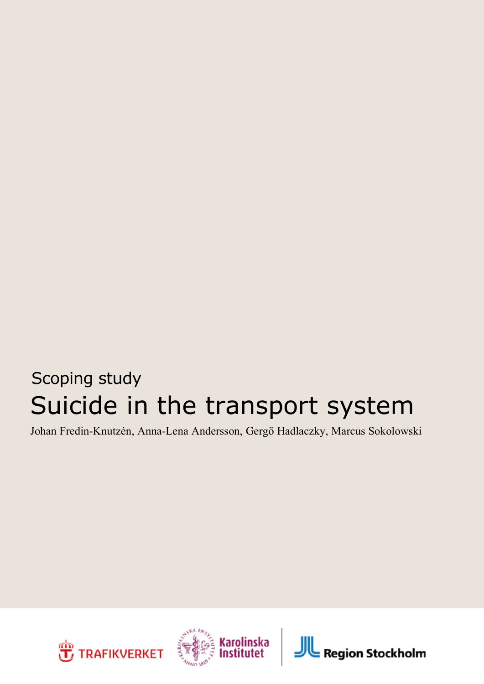## Suicide in the transport system Scoping study

Johan Fredin-Knutzén, Anna-Lena Andersson, Gergö Hadlaczky, Marcus Sokolowski





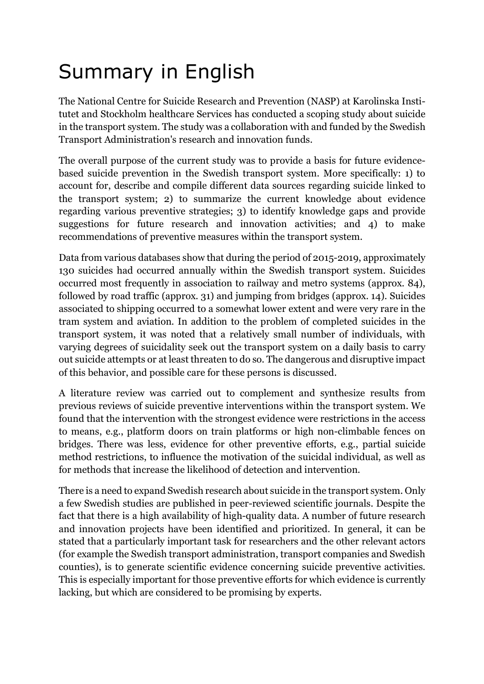## Summary in English

The National Centre for Suicide Research and Prevention (NASP) at Karolinska Institutet and Stockholm healthcare Services has conducted a scoping study about suicide in the transport system. The study was a collaboration with and funded by the Swedish Transport Administration's research and innovation funds.

The overall purpose of the current study was to provide a basis for future evidencebased suicide prevention in the Swedish transport system. More specifically: 1) to account for, describe and compile different data sources regarding suicide linked to the transport system; 2) to summarize the current knowledge about evidence regarding various preventive strategies; 3) to identify knowledge gaps and provide suggestions for future research and innovation activities; and 4) to make recommendations of preventive measures within the transport system.

Data from various databases show that during the period of 2015-2019, approximately 130 suicides had occurred annually within the Swedish transport system. Suicides occurred most frequently in association to railway and metro systems (approx. 84), followed by road traffic (approx. 31) and jumping from bridges (approx. 14). Suicides associated to shipping occurred to a somewhat lower extent and were very rare in the tram system and aviation. In addition to the problem of completed suicides in the transport system, it was noted that a relatively small number of individuals, with varying degrees of suicidality seek out the transport system on a daily basis to carry out suicide attempts or at least threaten to do so. The dangerous and disruptive impact of this behavior, and possible care for these persons is discussed.

A literature review was carried out to complement and synthesize results from previous reviews of suicide preventive interventions within the transport system. We found that the intervention with the strongest evidence were restrictions in the access to means, e.g., platform doors on train platforms or high non-climbable fences on bridges. There was less, evidence for other preventive efforts, e.g., partial suicide method restrictions, to influence the motivation of the suicidal individual, as well as for methods that increase the likelihood of detection and intervention.

There is a need to expand Swedish research about suicide in the transport system. Only a few Swedish studies are published in peer-reviewed scientific journals. Despite the fact that there is a high availability of high-quality data. A number of future research and innovation projects have been identified and prioritized. In general, it can be stated that a particularly important task for researchers and the other relevant actors (for example the Swedish transport administration, transport companies and Swedish counties), is to generate scientific evidence concerning suicide preventive activities. This is especially important for those preventive efforts for which evidence is currently lacking, but which are considered to be promising by experts.